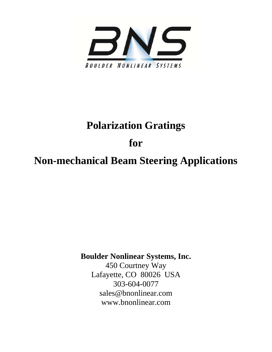

# **Polarization Gratings**

**for** 

**Non-mechanical Beam Steering Applications** 

**Boulder Nonlinear Systems, Inc.** 

450 Courtney Way Lafayette, CO 80026 USA 303-604-0077 sales@bnonlinear.com www.bnonlinear.com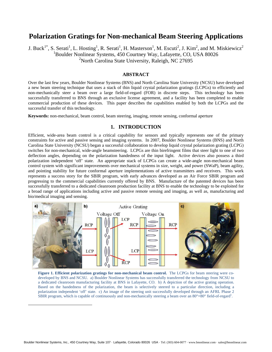# **Polarization Gratings for Non-mechanical Beam Steering Applications**

J. Buck<sup>1\*</sup>, S. Serati<sup>1</sup>, L. Hosting<sup>1</sup>, R. Serati<sup>1</sup>, H. Masterson<sup>1</sup>, M. Escuti<sup>2</sup>, J. Kim<sup>2</sup>, and M. Miskiewicz<sup>2</sup> 1 Boulder Nonlinear Systems, 450 Courtney Way, Lafayette, CO, USA 80026 <sup>2</sup>North Carolina State University, Raleigh, NC 27695

### **ABSTRACT**

Over the last few years, Boulder Nonlinear Systems (BNS) and North Carolina State University (NCSU) have developed a new beam steering technique that uses a stack of thin liquid crystal polarization gratings (LCPGs) to efficiently and non-mechanically steer a beam over a large field-of-regard (FOR) in discrete steps. This technology has been successfully transferred to BNS through an exclusive license agreement, and a facility has been completed to enable commercial production of these devices. This paper describes the capabilities enabled by both the LCPGs and the successful transfer of this technology.

**Keywords:** non-mechanical, beam control, beam steering, imaging, remote sensing, conformal aperture

# **1. INTRODUCTION**

Efficient, wide-area beam control is a critical capability for sensors and typically represents one of the primary constraints for active and passive sensing and imaging systems. In 2007, Boulder Nonlinear Systems (BNS) and North Carolina State University (NCSU) began a successful collaboration to develop liquid crystal polarization grating (LCPG) switches for non-mechanical, wide-angle beamsteering. LCPGs are thin birefringent films that steer light to one of two deflection angles, depending on the polarization handedness of the input light. Active devices also possess a third polarization independent 'off' state. An appropriate stack of LCPGs can create a wide-angle non-mechanical beam control system with significant improvements over mechanical systems in size, weight, and power (SWaP), beam agility, and pointing stability for future conformal aperture implementations of active transmitters and receivers. This work represents a success story for the SBIR program, with early advances developed as an Air Force SBIR program and progressing to the commercial capabilities currently offered by BNS. Manufacture of the patented devices has been successfully transferred to a dedicated cleanroom production facility at BNS to enable the technology to be exploited for a broad range of applications including active and passive remote sensing and imaging, as well as, manufacturing and bio/medical imaging and sensing.



**Figure 1. Efficient polarization gratings for non-mechanical beam control.** The LCPGs for beam steering were codeveloped by BNS and NCSU. a) Boulder Nonlinear Systems has successfully transferred the technology from NCSU to a dedicated cleanroom manufacturing facility at BNS in Lafayette, CO. b) A depiction of the active grating operation. Based on the handedness of the polarization, the beam is selectively steered to a particular direction, including a polarization independent 'off' state. c) An image of the steering unit successfully developed through an AFRL Phase 2 SBIR program, which is capable of continuously and non-mechanically steering a beam over an  $80^{\circ} \times 80^{\circ}$  field-of-regard<sup>1</sup>.

1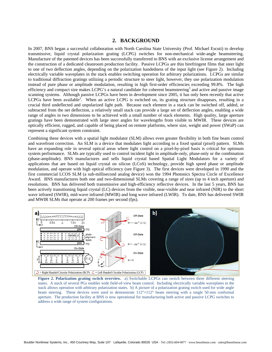## **2. BACKGROUND**

In 2007, BNS began a successful collaboration with North Carolina State University (Prof. Michael Escuti) to develop transmissive, liquid crystal polarization grating (LCPG) switches for non-mechanical wide-angle beamsteering. Manufacture of the patented devices has been successfully transferred to BNS with an exclusive license arrangement and the construction of a dedicated cleanroom production facility. Passive LCPGs are thin birefringent films that steer light to one of two deflection angles, depending on the polarization handedness of the input light (see Figure 2). Including electrically variable waveplates in the stack enables switching operation for arbitrary polarizations. LCPGs are similar to traditional diffraction gratings utilizing a periodic structure to steer light, however, they use polarization modulation instead of pure phase or amplitude modulation, resulting in high first-order efficiencies exceeding 99.8%. The high efficiency and compact size makes LCPG's a natural candidate for coherent beamsteering<sup>3</sup> and active and passive image scanning systems. Although passive LCPGs have been in development since 2005, it has only been recently that active LCPGs have been available<sup>2</sup>. When an active LCPG is switched on, its grating structure disappears, resulting in a crucial third undeflected and unpolarized light path. Because each element in a stack can be switched off, added, or subtracted from the net deflection, a relatively small stack can provide a large set of deflection angles, enabling a wide range of angles in two dimensions to be achieved with a small number of stack elements. High quality, large aperture gratings have been demonstrated with large steer angles for wavelengths from visible to MWIR. These devices are optically efficient, rugged, and capable of being placed on remote platforms, where size, weight and power (SWaP) can represent a significant system constraint.

Combining these devices with a spatial light modulator (SLM) allows even greater flexibility in both fine beam control and wavefront correction. An SLM is a device that modulates light according to a fixed spatial (pixel) pattern. SLMs have an expanding role in several optical areas where light control on a pixel-by-pixel basis is critical for optimum system performance. SLMs are typically used to control incident light in amplitude-only, phase-only or the combination (phase-amplitude). BNS manufactures and sells liquid crystal based Spatial Light Modulators for a variety of applications that are based on liquid crystal on silicon (LCoS) technology, provide high speed phase or amplitude modulation, and operate with high optical efficiency (see Figure 3). The first devices were developed in 1990 and the first commercial LCOS SLM (a sub-millisecond analog device) won the 1994 Photonics Spectra Circle of Excellence Award. BNS manufactures both one and two-dimensional SLMs covering a range of sizes (up to 4 inch aperture) and resolutions. BNS has delivered both transmissive and high-efficiency reflective devices. In the last 5 years, BNS has been actively transitioning liquid crystal (LC) devices from the visible, near-visible and near infrared (NIR) to the short wave infrared (SWIR), mid-wave infrared (MWIR) and long wave infrared (LWIR). To date, BNS has delivered SWIR and MWIR SLMs that operate at 200 frames per second (fps).



**Figure 2. Polarization grating switch overview.** a) Switchable LCPGs can switch between three different steering states. A stack of several PGs enables wide field-of-view beam control. Including electrically variable waveplates in the stack allows operation with arbitrary polarization states. b) A picture of a polarization grating switch used for wide angle beam steering. These devices were used to demonstrate 112°×112° beam steering with a single 50 mm conformal aperture. The production facility at BNS is now operational for manufacturing both active and passive LCPG switches to address a wide range of system configurations.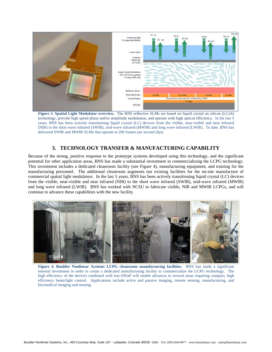

**Figure 3. Spatial Light Modulator overview.** The BNS reflective SLMs are based on liquid crystal on silicon (LCoS) technology, provide high speed phase and/or amplitude modulation, and operate with high optical efficiency. In the last 5 years, BNS has been actively transitioning liquid crystal (LC) devices from the visible, near-visible and near infrared (NIR) to the short wave infrared (SWIR), mid-wave infrared (MWIR) and long wave infrared (LWIR). To date, BNS has delivered SWIR and MWIR SLMs that operate at 200 frames per second (fps).

# **3. TECHNOLOGY TRANSFER & MANUFACTURING CAPABILITY**

Because of the strong, positive response to the prototype systems developed using this technology, and the significant potential for other application areas, BNS has made a substantial investment in commercializing the LCPG technology. This investment includes a dedicated cleanroom facility (see Figure 4), manufacturing equipment, and training for the manufacturing personnel. The additional cleanroom augments our existing facilities for the on-site manufacture of commercial spatial light modulators. In the last 5 years, BNS has been actively transitioning liquid crystal (LC) devices from the visible, near-visible and near infrared (NIR) to the short wave infrared (SWIR), mid-wave infrared (MWIR) and long wave infrared (LWIR). BNS has worked with NCSU to fabricate visible, NIR and MWIR LCPGs, and will continue to advance these capabilities with the new facility.



**Figure 4. Boulder Nonlinear Systems LCPG cleanroom manufacturing facilities.** BNS has made a significant internal investment in order to create a dedicated manufacturing facility to commercialize the LCPG technology. The high efficiency of the devices combined with low-SWaP will enable advances in several areas requiring compact, high efficiency beam/light control. Applications include active and passive imaging, remote sensing, manufacturing, and bio/medical imaging and sensing.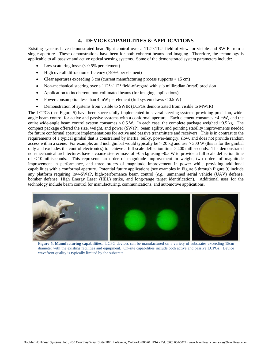# **4. DEVICE CAPABILITIES & APPLICATIONS**

Existing systems have demonstrated beam/light control over a 112°×112° field-of-view for visible and SWIR from a single aperture. These demonstrations have been for both coherent beams and imaging. Therefore, the technology is applicable to all passive and active optical sensing systems. Some of the demonstrated system parameters include:

- Low scattering  $losses(< 0.5\%$  per element)
- High overall diffraction efficiency (>99% per element)
- Clear apertures exceeding 5 cm (current manufacturing process supports  $> 15$  cm)
- Non-mechanical steering over a  $112^{\circ} \times 112^{\circ}$  field-of-regard with sub milliradian (mrad) precision
- Application to incoherent, non-collimated beams (for imaging applications)
- Power consumption less than 4 mW per element (full system draws  $< 0.5 W$ )
- Demonstration of systems from visible to SWIR (LCPGs demonstrated from visible to MWIR)

The LCPGs (see Figure 5) have been successfully implemented in several steering systems providing precision, wideangle beam control for active and passive systems with a conformal aperture. Each element consumes  $\sim$ 4 mW, and the entire wide-angle beam control system consumes  $< 0.5$  W. In each case, the complete package weighed  $\sim 0.5$  kg. The compact package offered the size, weight, and power (SWaP), beam agility, and pointing stability improvements needed for future conformal aperture implementations for active and passive transmitters and receivers. This is in contrast to the requirements of a typical gimbal that is constrained by inertia, bulky, power-hungry, slow, and does not provide random access within a scene. For example, an 8 inch gimbal would typically be  $> 20$  kg and use  $> 300$  W (this is for the gimbal only and excludes the control electronics) to achieve a full scale deflection time > 400 milliseconds. The demonstrated non-mechanical architectures have a coarse steerer mass of  $\sim 0.5$  kg using  $\sim 0.5$  W to provide a full scale deflection time of < 10 milliseconds. This represents an order of magnitude improvement in weight, two orders of magnitude improvement in performance, and three orders of magnitude improvement in power while providing additional capabilities with a conformal aperture. Potential future applications (see examples in Figure 6 through Figure 9) include any platform requiring low-SWaP, high-performance beam control (*e.g.*, unmanned aerial vehicle (UAV) defense, bomber defense, High Energy Laser (HEL) strike, and long-range target identification). Additional uses for the technology include beam control for manufacturing, communications, and automotive applications.



**Figure 5. Manufacturing capabilities.** LCPG devices can be manufactured on a variety of substrates exceeding 15cm diameter with the existing facilities and equipment. On-site capabilities include both active and passive LCPGs. Device wavefront quality is typically limited by the substrate.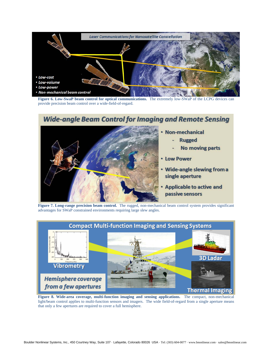

**Figure 6. Low-SwaP beam control for optical communications.** The extremely low-SWaP of the LCPG devices can provide precision beam control over a wide-field-of-regard.

# **Wide-angle Beam Control for Imaging and Remote Sensing**



- Non-mechanical
	- **Rugged**
	- **No moving parts**
- Low Power
- . Wide-angle slewing from a single aperture
- **Applicable to active and** passive sensors

**Figure 7. Long-range precision beam control.** The rugged, non-mechanical beam control system provides significant advantages for SWaP constrained environments requiring large slew angles.



**Figure 8. Wide-area coverage, multi-function imaging and sensing applications.** The compact, non-mechanical light/beam control applies to multi-function sensors and imagers. The wide field-of-regard from a single aperture means that only a few apertures are required to cover a full hemisphere.